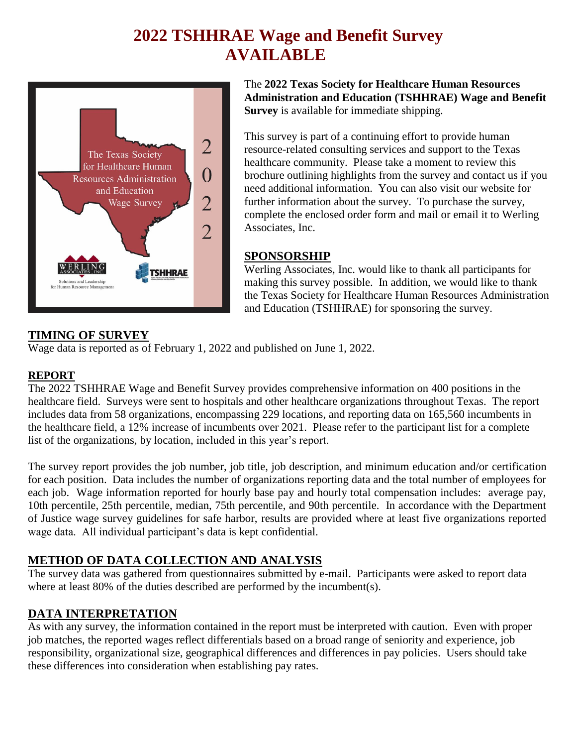# **2022 TSHHRAE Wage and Benefit Survey AVAILABLE**



The **2022 Texas Society for Healthcare Human Resources Administration and Education (TSHHRAE) Wage and Benefit Survey** is available for immediate shipping.

This survey is part of a continuing effort to provide human resource-related consulting services and support to the Texas healthcare community. Please take a moment to review this brochure outlining highlights from the survey and contact us if you need additional information. You can also visit our website for further information about the survey. To purchase the survey, complete the enclosed order form and mail or email it to Werling Associates, Inc.

#### **SPONSORSHIP**

Werling Associates, Inc. would like to thank all participants for making this survey possible. In addition, we would like to thank the Texas Society for Healthcare Human Resources Administration and Education (TSHHRAE) for sponsoring the survey.

#### **TIMING OF SURVEY**

Wage data is reported as of February 1, 2022 and published on June 1, 2022.

#### **REPORT**

The 2022 TSHHRAE Wage and Benefit Survey provides comprehensive information on 400 positions in the healthcare field. Surveys were sent to hospitals and other healthcare organizations throughout Texas. The report includes data from 58 organizations, encompassing 229 locations, and reporting data on 165,560 incumbents in the healthcare field, a 12% increase of incumbents over 2021. Please refer to the participant list for a complete list of the organizations, by location, included in this year's report.

The survey report provides the job number, job title, job description, and minimum education and/or certification for each position. Data includes the number of organizations reporting data and the total number of employees for each job. Wage information reported for hourly base pay and hourly total compensation includes: average pay, 10th percentile, 25th percentile, median, 75th percentile, and 90th percentile. In accordance with the Department of Justice wage survey guidelines for safe harbor, results are provided where at least five organizations reported wage data. All individual participant's data is kept confidential.

#### **METHOD OF DATA COLLECTION AND ANALYSIS**

The survey data was gathered from questionnaires submitted by e-mail. Participants were asked to report data where at least 80% of the duties described are performed by the incumbent(s).

#### **DATA INTERPRETATION**

As with any survey, the information contained in the report must be interpreted with caution. Even with proper job matches, the reported wages reflect differentials based on a broad range of seniority and experience, job responsibility, organizational size, geographical differences and differences in pay policies. Users should take these differences into consideration when establishing pay rates.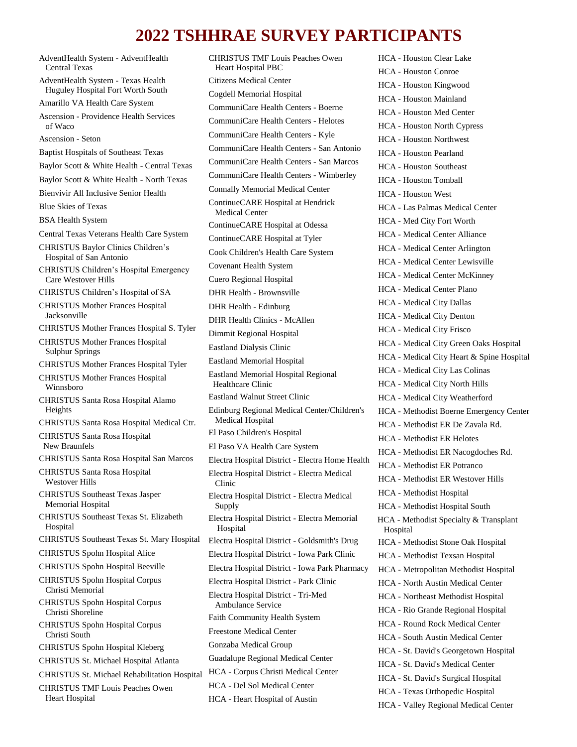## **2022 TSHHRAE SURVEY PARTICIPANTS**

AdventHealth System - AdventHealth Central Texas AdventHealth System - Texas Health Huguley Hospital Fort Worth South Amarillo VA Health Care System Ascension - Providence Health Services of Waco Ascension - Seton Baptist Hospitals of Southeast Texas Baylor Scott & White Health - Central Texas Baylor Scott & White Health - North Texas Bienvivir All Inclusive Senior Health Blue Skies of Texas BSA Health System Central Texas Veterans Health Care System CHRISTUS Baylor Clinics Children's Hospital of San Antonio CHRISTUS Children's Hospital Emergency Care Westover Hills CHRISTUS Children's Hospital of SA CHRISTUS Mother Frances Hospital Jacksonville CHRISTUS Mother Frances Hospital S. Tyler CHRISTUS Mother Frances Hospital Sulphur Springs CHRISTUS Mother Frances Hospital Tyler CHRISTUS Mother Frances Hospital Winnsboro CHRISTUS Santa Rosa Hospital Alamo Heights CHRISTUS Santa Rosa Hospital Medical Ctr. CHRISTUS Santa Rosa Hospital New Braunfels CHRISTUS Santa Rosa Hospital San Marcos CHRISTUS Santa Rosa Hospital Westover Hills CHRISTUS Southeast Texas Jasper Memorial Hospital CHRISTUS Southeast Texas St. Elizabeth Hospital CHRISTUS Southeast Texas St. Mary Hospital CHRISTUS Spohn Hospital Alice CHRISTUS Spohn Hospital Beeville CHRISTUS Spohn Hospital Corpus Christi Memorial CHRISTUS Spohn Hospital Corpus Christi Shoreline CHRISTUS Spohn Hospital Corpus Christi South CHRISTUS Spohn Hospital Kleberg CHRISTUS St. Michael Hospital Atlanta CHRISTUS St. Michael Rehabilitation Hospital CHRISTUS TMF Louis Peaches Owen Heart Hospital

CHRISTUS TMF Louis Peaches Owen Heart Hospital PBC Citizens Medical Center Cogdell Memorial Hospital CommuniCare Health Centers - Boerne CommuniCare Health Centers - Helotes CommuniCare Health Centers - Kyle CommuniCare Health Centers - San Antonio CommuniCare Health Centers - San Marcos CommuniCare Health Centers - Wimberley Connally Memorial Medical Center ContinueCARE Hospital at Hendrick Medical Center ContinueCARE Hospital at Odessa ContinueCARE Hospital at Tyler Cook Children's Health Care System Covenant Health System Cuero Regional Hospital DHR Health - Brownsville DHR Health - Edinburg DHR Health Clinics - McAllen Dimmit Regional Hospital Eastland Dialysis Clinic Eastland Memorial Hospital Eastland Memorial Hospital Regional Healthcare Clinic Eastland Walnut Street Clinic Edinburg Regional Medical Center/Children's Medical Hospital El Paso Children's Hospital El Paso VA Health Care System Electra Hospital District - Electra Home Health Electra Hospital District - Electra Medical Clinic Electra Hospital District - Electra Medical Supply Electra Hospital District - Electra Memorial Hospital Electra Hospital District - Goldsmith's Drug Electra Hospital District - Iowa Park Clinic Electra Hospital District - Iowa Park Pharmacy Electra Hospital District - Park Clinic Electra Hospital District - Tri-Med Ambulance Service Faith Community Health System Freestone Medical Center Gonzaba Medical Group Guadalupe Regional Medical Center HCA - Corpus Christi Medical Center HCA - Del Sol Medical Center HCA - Heart Hospital of Austin

HCA - Houston Clear Lake HCA - Houston Conroe HCA - Houston Kingwood HCA - Houston Mainland HCA - Houston Med Center HCA - Houston North Cypress HCA - Houston Northwest HCA - Houston Pearland HCA - Houston Southeast HCA - Houston Tomball HCA - Houston West HCA - Las Palmas Medical Center HCA - Med City Fort Worth HCA - Medical Center Alliance HCA - Medical Center Arlington HCA - Medical Center Lewisville HCA - Medical Center McKinney HCA - Medical Center Plano HCA - Medical City Dallas HCA - Medical City Denton HCA - Medical City Frisco HCA - Medical City Green Oaks Hospital HCA - Medical City Heart & Spine Hospital HCA - Medical City Las Colinas HCA - Medical City North Hills HCA - Medical City Weatherford HCA - Methodist Boerne Emergency Center HCA - Methodist ER De Zavala Rd. HCA - Methodist ER Helotes HCA - Methodist ER Nacogdoches Rd. HCA - Methodist ER Potranco HCA - Methodist ER Westover Hills HCA - Methodist Hospital HCA - Methodist Hospital South HCA - Methodist Specialty & Transplant Hospital HCA - Methodist Stone Oak Hospital HCA - Methodist Texsan Hospital HCA - Metropolitan Methodist Hospital HCA - North Austin Medical Center HCA - Northeast Methodist Hospital HCA - Rio Grande Regional Hospital HCA - Round Rock Medical Center HCA - South Austin Medical Center HCA - St. David's Georgetown Hospital HCA - St. David's Medical Center HCA - St. David's Surgical Hospital HCA - Texas Orthopedic Hospital HCA - Valley Regional Medical Center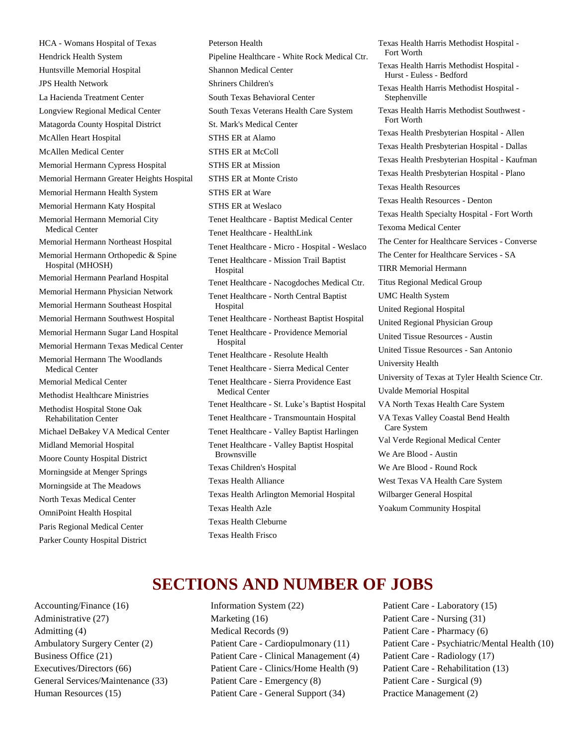HCA - Womans Hospital of Texas Hendrick Health System Huntsville Memorial Hospital JPS Health Network La Hacienda Treatment Center Longview Regional Medical Center Matagorda County Hospital District McAllen Heart Hospital McAllen Medical Center Memorial Hermann Cypress Hospital Memorial Hermann Greater Heights Hospital Memorial Hermann Health System Memorial Hermann Katy Hospital Memorial Hermann Memorial City Medical Center Memorial Hermann Northeast Hospital Memorial Hermann Orthopedic & Spine Hospital (MHOSH) Memorial Hermann Pearland Hospital Memorial Hermann Physician Network Memorial Hermann Southeast Hospital Memorial Hermann Southwest Hospital Memorial Hermann Sugar Land Hospital Memorial Hermann Texas Medical Center Memorial Hermann The Woodlands Medical Center Memorial Medical Center Methodist Healthcare Ministries Methodist Hospital Stone Oak Rehabilitation Center Michael DeBakey VA Medical Center Midland Memorial Hospital Moore County Hospital District Morningside at Menger Springs Morningside at The Meadows North Texas Medical Center OmniPoint Health Hospital Paris Regional Medical Center Parker County Hospital District

Peterson Health Pipeline Healthcare - White Rock Medical Ctr. Shannon Medical Center Shriners Children's South Texas Behavioral Center South Texas Veterans Health Care System St. Mark's Medical Center STHS ER at Alamo STHS ER at McColl STHS ER at Mission STHS ER at Monte Cristo STHS ER at Ware STHS ER at Weslaco Tenet Healthcare - Baptist Medical Center Tenet Healthcare - HealthLink Tenet Healthcare - Micro - Hospital - Weslaco Tenet Healthcare - Mission Trail Baptist Hospital Tenet Healthcare - Nacogdoches Medical Ctr. Tenet Healthcare - North Central Baptist Hospital Tenet Healthcare - Northeast Baptist Hospital Tenet Healthcare - Providence Memorial Hospital Tenet Healthcare - Resolute Health Tenet Healthcare - Sierra Medical Center Tenet Healthcare - Sierra Providence East Medical Center Tenet Healthcare - St. Luke's Baptist Hospital Tenet Healthcare - Transmountain Hospital Tenet Healthcare - Valley Baptist Harlingen Tenet Healthcare - Valley Baptist Hospital Brownsville Texas Children's Hospital Texas Health Alliance Texas Health Arlington Memorial Hospital Texas Health Azle Texas Health Cleburne

Texas Health Harris Methodist Hospital - Fort Worth Texas Health Harris Methodist Hospital - Hurst - Euless - Bedford Texas Health Harris Methodist Hospital - Stephenville Texas Health Harris Methodist Southwest - Fort Worth Texas Health Presbyterian Hospital - Allen Texas Health Presbyterian Hospital - Dallas Texas Health Presbyterian Hospital - Kaufman Texas Health Presbyterian Hospital - Plano Texas Health Resources Texas Health Resources - Denton Texas Health Specialty Hospital - Fort Worth Texoma Medical Center The Center for Healthcare Services - Converse The Center for Healthcare Services - SA TIRR Memorial Hermann Titus Regional Medical Group UMC Health System United Regional Hospital United Regional Physician Group United Tissue Resources - Austin United Tissue Resources - San Antonio University Health University of Texas at Tyler Health Science Ctr. Uvalde Memorial Hospital VA North Texas Health Care System VA Texas Valley Coastal Bend Health Care System Val Verde Regional Medical Center We Are Blood - Austin We Are Blood - Round Rock West Texas VA Health Care System Wilbarger General Hospital Yoakum Community Hospital

## **SECTIONS AND NUMBER OF JOBS**

Texas Health Frisco

Accounting/Finance (16) Administrative (27) Admitting (4) Ambulatory Surgery Center (2) Business Office (21) Executives/Directors (66) General Services/Maintenance (33) Human Resources (15)

Information System (22) Marketing (16) Medical Records (9) Patient Care - Cardiopulmonary (11) Patient Care - Clinical Management (4) Patient Care - Clinics/Home Health (9) Patient Care - Emergency (8) Patient Care - General Support (34)

Patient Care - Laboratory (15) Patient Care - Nursing (31) Patient Care - Pharmacy (6) Patient Care - Psychiatric/Mental Health (10) Patient Care - Radiology (17) Patient Care - Rehabilitation (13) Patient Care - Surgical (9) Practice Management (2)